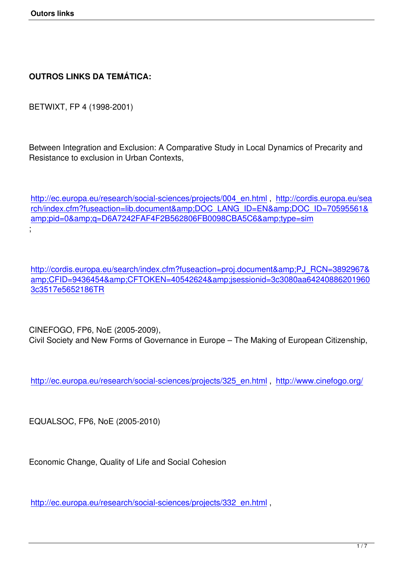## **OUTROS LINKS DA TEMÁTICA:**

BETWIXT, FP 4 (1998-2001)

Between Integration and Exclusion: A Comparative Study in Local Dynamics of Precarity and Resistance to exclusion in Urban Contexts,

http://ec.europa.eu/research/social-sciences/projects/004\_en.html , http://cordis.europa.eu/sea rch/index.cfm?fuseaction=lib.document&DOC\_LANG\_ID=EN&DOC\_ID=70595561& amp;pid=0&g=D6A7242FAF4F2B562806FB0098CBA5C6&type=sim [;](http://ec.europa.eu/research/social-sciences/projects/004_en.html)

http://cordis.europa.eu/search/index.cfm?fuseaction=proj.document&PJ\_RCN=3892967& amp:CFID=9436454&amp:CFTOKEN=40542624&amp:jsessionid=3c3080aa64240886201960 3c3517e5652186TR

[CINEFOGO, FP6, No](http://cordis.europa.eu/search/index.cfm?fuseaction=proj.document&PJ_RCN=3892967&CFID=9436454&CFTOKEN=40542624&jsessionid=3c3080aa642408862019603c3517e5652186TR)E (2005-2009), Civil Society and New Forms of Governance in Europe – The Making of European Citizenship,

http://ec.europa.eu/research/social-sciences/projects/325\_en.html , http://www.cinefogo.org/

[EQUALSOC, FP6, NoE \(2005-2010\)](http://ec.europa.eu/research/social-sciences/projects/325_en.html)

Economic Change, Quality of Life and Social Cohesion

http://ec.europa.eu/research/social-sciences/projects/332\_en.html ,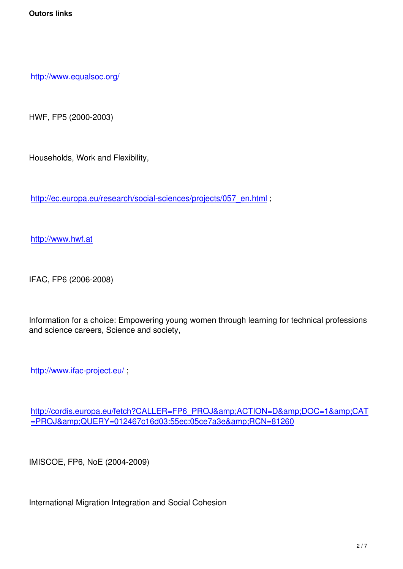http://www.equalsoc.org/

[HWF, FP5 \(2000-2003\)](http://www.equalsoc.org/)

Households, Work and Flexibility,

http://ec.europa.eu/research/social-sciences/projects/057\_en.html;

[http://www.hwf.at](http://ec.europa.eu/research/social-sciences/projects/057_en.html)

[IFAC, FP6 \(2006-2](http://www.hwf.at/)008)

Information for a choice: Empowering young women through learning for technical professions and science careers, Science and society,

http://www.ifac-project.eu/ ;

[http://cordis.europa.eu/fetc](http://www.ifac-project.eu/)h?CALLER=FP6\_PROJ&ACTION=D&DOC=1&CAT =PROJ&amp:QUERY=012467c16d03:55ec:05ce7a3e&amp:RCN=81260

[IMISCOE, FP6, NoE \(2004-2009\)](http://cordis.europa.eu/fetch?CALLER=FP6_PROJ&ACTION=D&DOC=1&CAT=PROJ&QUERY=012467c16d03:55ec:05ce7a3e&RCN=81260)

International Migration Integration and Social Cohesion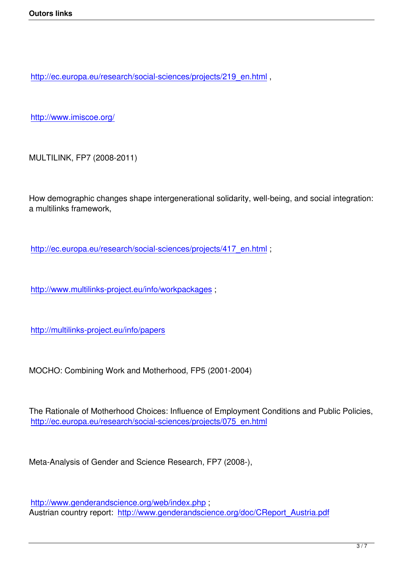http://ec.europa.eu/research/social-sciences/projects/219\_en.html ,

[http://www.imiscoe.org/](http://ec.europa.eu/research/social-sciences/projects/219_en.html)

[MULTILINK, FP7 \(2008-](http://www.imiscoe.org/)2011)

How demographic changes shape intergenerational solidarity, well-being, and social integration: a multilinks framework,

http://ec.europa.eu/research/social-sciences/projects/417\_en.html;

[http://www.multilinks-project.eu/info/workpackages](http://ec.europa.eu/research/social-sciences/projects/417_en.html) ;

[http://multilinks-project.eu/info/papers](http://www.multilinks-project.eu/info/workpackages)

[MOCHO: Combining Work and Mothe](http://multilinks-project.eu/info/papers)rhood, FP5 (2001-2004)

The Rationale of Motherhood Choices: Influence of Employment Conditions and Public Policies, http://ec.europa.eu/research/social-sciences/projects/075\_en.html

[Meta-Analysis of Gender and Science Research, FP7 \(2008-\),](http://ec.europa.eu/research/social-sciences/projects/075_en.html)

http://www.genderandscience.org/web/index.php ; Austrian country report: http://www.genderandscience.org/doc/CReport\_Austria.pdf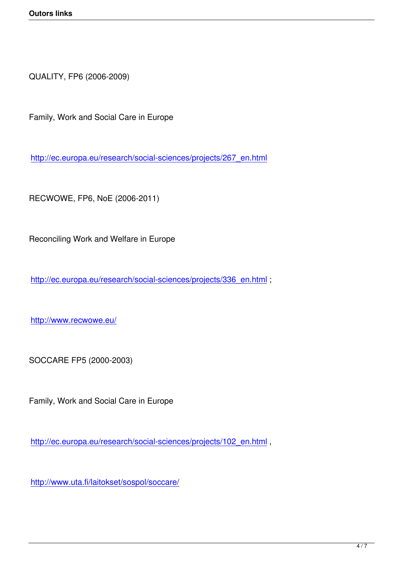QUALITY, FP6 (2006-2009)

Family, Work and Social Care in Europe

http://ec.europa.eu/research/social-sciences/projects/267\_en.html

[RECWOWE, FP6, NoE \(2006-2011\)](http://ec.europa.eu/research/social-sciences/projects/267_en.html)

Reconciling Work and Welfare in Europe

http://ec.europa.eu/research/social-sciences/projects/336\_en.html;

[http://www.recwowe.eu/](http://ec.europa.eu/research/social-sciences/projects/336_en.html)

[SOCCARE FP5 \(2000-2](http://www.recwowe.eu/)003)

Family, Work and Social Care in Europe

http://ec.europa.eu/research/social-sciences/projects/102\_en.html ,

[http://www.uta.fi/laitokset/sospol/soccare/](http://ec.europa.eu/research/social-sciences/projects/102_en.html)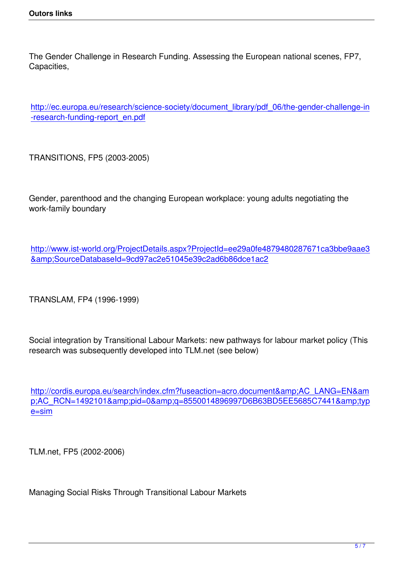The Gender Challenge in Research Funding. Assessing the European national scenes, FP7, Capacities,

http://ec.europa.eu/research/science-society/document\_library/pdf\_06/the-gender-challenge-in -research-funding-report\_en.pdf

[TRANSITIONS, FP5 \(2003-2005](http://ec.europa.eu/research/science-society/document_library/pdf_06/the-gender-challenge-in-research-funding-report_en.pdf))

Gender, parenthood and the changing European workplace: young adults negotiating the work-family boundary

http://www.ist-world.org/ProjectDetails.aspx?ProjectId=ee29a0fe4879480287671ca3bbe9aae3 &SourceDatabaseId=9cd97ac2e51045e39c2ad6b86dce1ac2

[TRANSLAM, FP4 \(1996-1999\)](http://www.ist-world.org/ProjectDetails.aspx?ProjectId=ee29a0fe4879480287671ca3bbe9aae3&SourceDatabaseId=9cd97ac2e51045e39c2ad6b86dce1ac2)

Social integration by Transitional Labour Markets: new pathways for labour market policy (This research was subsequently developed into TLM.net (see below)

http://cordis.europa.eu/search/index.cfm?fuseaction=acro.document&amp:AC\_LANG=EN&am p;AC\_RCN=1492101&pid=0&q=8550014896997D6B63BD5EE5685C7441&typ e=sim

[TLM.ne](http://cordis.europa.eu/search/index.cfm?fuseaction=acro.document&AC_LANG=EN&AC_RCN=1492101&pid=0&q=8550014896997D6B63BD5EE5685C7441&type=sim)t, FP5 (2002-2006)

Managing Social Risks Through Transitional Labour Markets